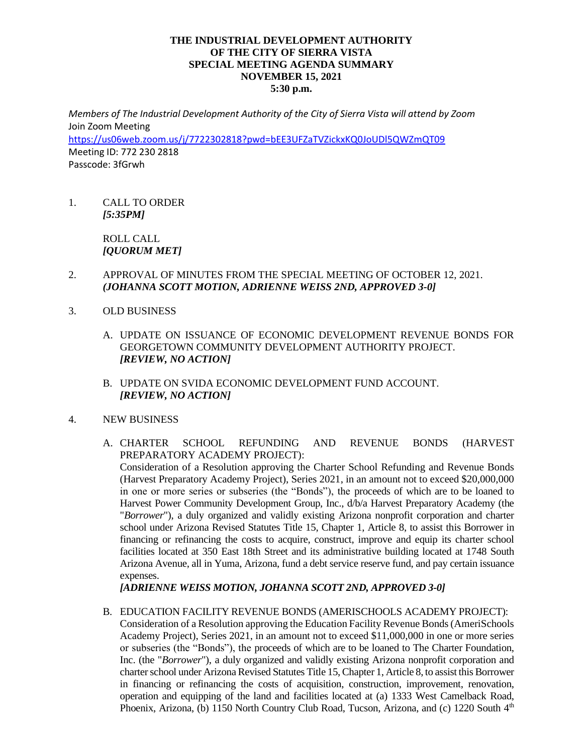## **THE INDUSTRIAL DEVELOPMENT AUTHORITY OF THE CITY OF SIERRA VISTA SPECIAL MEETING AGENDA SUMMARY NOVEMBER 15, 2021 5:30 p.m.**

*Members of The Industrial Development Authority of the City of Sierra Vista will attend by Zoom* Join Zoom Meeting <https://us06web.zoom.us/j/7722302818?pwd=bEE3UFZaTVZickxKQ0JoUDl5QWZmQT09> Meeting ID: 772 230 2818 Passcode: 3fGrwh

1. CALL TO ORDER *[5:35PM]*

> ROLL CALL *[QUORUM MET]*

- 2. APPROVAL OF MINUTES FROM THE SPECIAL MEETING OF OCTOBER 12, 2021. *(JOHANNA SCOTT MOTION, ADRIENNE WEISS 2ND, APPROVED 3-0]*
- 3. OLD BUSINESS
	- A. UPDATE ON ISSUANCE OF ECONOMIC DEVELOPMENT REVENUE BONDS FOR GEORGETOWN COMMUNITY DEVELOPMENT AUTHORITY PROJECT. *[REVIEW, NO ACTION]*
	- B. UPDATE ON SVIDA ECONOMIC DEVELOPMENT FUND ACCOUNT. *[REVIEW, NO ACTION]*
- 4. NEW BUSINESS
	- A. CHARTER SCHOOL REFUNDING AND REVENUE BONDS (HARVEST PREPARATORY ACADEMY PROJECT):

Consideration of a Resolution approving the Charter School Refunding and Revenue Bonds (Harvest Preparatory Academy Project), Series 2021, in an amount not to exceed \$20,000,000 in one or more series or subseries (the "Bonds"), the proceeds of which are to be loaned to Harvest Power Community Development Group, Inc., d/b/a Harvest Preparatory Academy (the "*Borrower*"), a duly organized and validly existing Arizona nonprofit corporation and charter school under Arizona Revised Statutes Title 15, Chapter 1, Article 8, to assist this Borrower in financing or refinancing the costs to acquire, construct, improve and equip its charter school facilities located at 350 East 18th Street and its administrative building located at 1748 South Arizona Avenue, all in Yuma, Arizona, fund a debt service reserve fund, and pay certain issuance expenses.

*[ADRIENNE WEISS MOTION, JOHANNA SCOTT 2ND, APPROVED 3-0]*

B. EDUCATION FACILITY REVENUE BONDS (AMERISCHOOLS ACADEMY PROJECT): Consideration of a Resolution approving the Education Facility Revenue Bonds (AmeriSchools Academy Project), Series 2021, in an amount not to exceed \$11,000,000 in one or more series or subseries (the "Bonds"), the proceeds of which are to be loaned to The Charter Foundation, Inc. (the "*Borrower*"), a duly organized and validly existing Arizona nonprofit corporation and charter school under Arizona Revised Statutes Title 15, Chapter 1, Article 8, to assist this Borrower in financing or refinancing the costs of acquisition, construction, improvement, renovation, operation and equipping of the land and facilities located at (a) 1333 West Camelback Road, Phoenix, Arizona, (b) 1150 North Country Club Road, Tucson, Arizona, and (c) 1220 South 4<sup>th</sup>